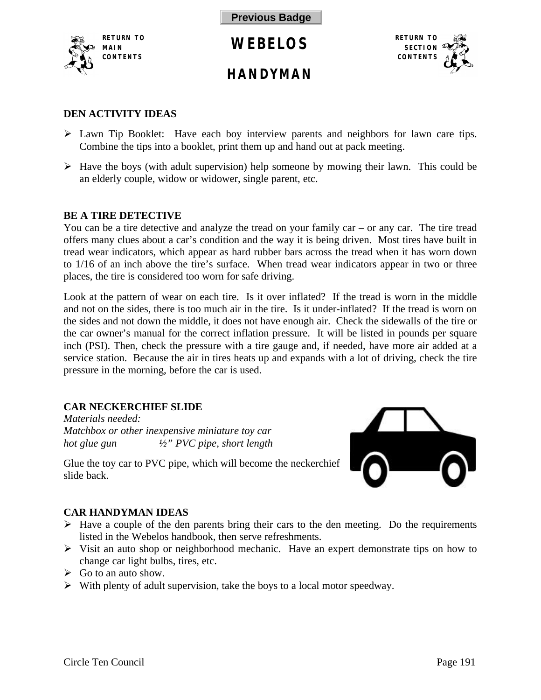<span id="page-0-0"></span>

## **HANDYMAN**



### **DEN ACTIVITY IDEAS**

- $\triangleright$  Lawn Tip Booklet: Have each boy interview parents and neighbors for lawn care tips. Combine the tips into a booklet, print them up and hand out at pack meeting.
- $\triangleright$  Have the boys (with adult supervision) help someone by mowing their lawn. This could be an elderly couple, widow or widower, single parent, etc.

### **BE A TIRE DETECTIVE**

You can be a tire detective and analyze the tread on your family car – or any car. The tire tread offers many clues about a car's condition and the way it is being driven. Most tires have built in tread wear indicators, which appear as hard rubber bars across the tread when it has worn down to 1/16 of an inch above the tire's surface. When tread wear indicators appear in two or three places, the tire is considered too worn for safe driving.

Look at the pattern of wear on each tire. Is it over inflated? If the tread is worn in the middle and not on the sides, there is too much air in the tire. Is it under-inflated? If the tread is worn on the sides and not down the middle, it does not have enough air. Check the sidewalls of the tire or the car owner's manual for the correct inflation pressure. It will be listed in pounds per square inch (PSI). Then, check the pressure with a tire gauge and, if needed, have more air added at a service station. Because the air in tires heats up and expands with a lot of driving, check the tire pressure in the morning, before the car is used.

### **CAR NECKERCHIEF SLIDE**

*Materials needed: Matchbox or other inexpensive miniature toy car hot glue gun ½" PVC pipe, short length*



Glue the toy car to PVC pipe, which will become the neckerchief slide back.

### **CAR HANDYMAN IDEAS**

- $\triangleright$  Have a couple of the den parents bring their cars to the den meeting. Do the requirements listed in the Webelos handbook, then serve refreshments.
- $\triangleright$  Visit an auto shop or neighborhood mechanic. Have an expert demonstrate tips on how to change car light bulbs, tires, etc.
- $\triangleright$  Go to an auto show.
- $\triangleright$  With plenty of adult supervision, take the boys to a local motor speedway.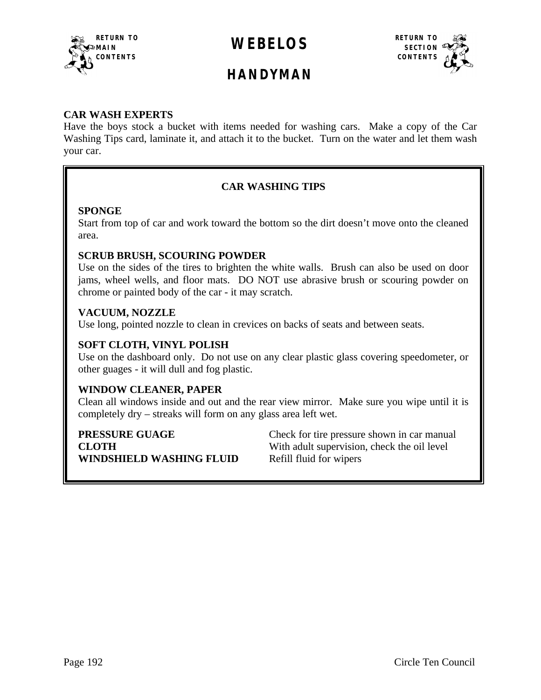<span id="page-1-0"></span>



## **HANDYMAN**

### **CAR WASH EXPERTS**

Have the boys stock a bucket with items needed for washing cars. Make a copy of the Car Washing Tips card, laminate it, and attach it to the bucket. Turn on the water and let them wash your car.

### **CAR WASHING TIPS**

### **SPONGE**

Start from top of car and work toward the bottom so the dirt doesn't move onto the cleaned area.

### **SCRUB BRUSH, SCOURING POWDER**

Use on the sides of the tires to brighten the white walls. Brush can also be used on door jams, wheel wells, and floor mats. DO NOT use abrasive brush or scouring powder on chrome or painted body of the car - it may scratch.

### **VACUUM, NOZZLE**

Use long, pointed nozzle to clean in crevices on backs of seats and between seats.

### **SOFT CLOTH, VINYL POLISH**

Use on the dashboard only. Do not use on any clear plastic glass covering speedometer, or other guages - it will dull and fog plastic.

### **WINDOW CLEANER, PAPER**

Clean all windows inside and out and the rear view mirror. Make sure you wipe until it is completely dry – streaks will form on any glass area left wet.

**WINDSHIELD WASHING FLUID** Refill fluid for wipers

**PRESSURE GUAGE** Check for tire pressure shown in car manual **CLOTH** With adult supervision, check the oil level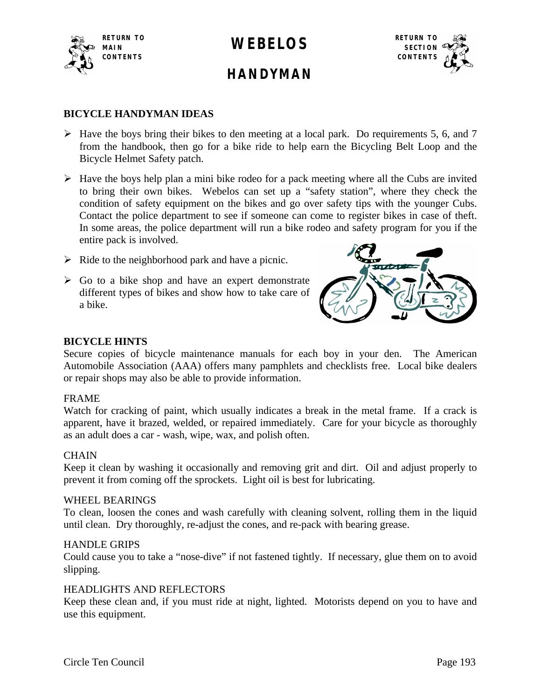



## **HANDYMAN**

### **BICYCLE HANDYMAN IDEAS**

- $\triangleright$  Have the boys bring their bikes to den meeting at a local park. Do requirements 5, 6, and 7 from the handbook, then go for a bike ride to help earn the Bicycling Belt Loop and the Bicycle Helmet Safety patch.
- $\triangleright$  Have the boys help plan a mini bike rodeo for a pack meeting where all the Cubs are invited to bring their own bikes. Webelos can set up a "safety station", where they check the condition of safety equipment on the bikes and go over safety tips with the younger Cubs. Contact the police department to see if someone can come to register bikes in case of theft. In some areas, the police department will run a bike rodeo and safety program for you if the entire pack is involved.
- $\triangleright$  Ride to the neighborhood park and have a picnic.
- $\triangleright$  Go to a bike shop and have an expert demonstrate different types of bikes and show how to take care of a bike.



### **BICYCLE HINTS**

Secure copies of bicycle maintenance manuals for each boy in your den. The American Automobile Association (AAA) offers many pamphlets and checklists free. Local bike dealers or repair shops may also be able to provide information.

### FRAME

Watch for cracking of paint, which usually indicates a break in the metal frame. If a crack is apparent, have it brazed, welded, or repaired immediately. Care for your bicycle as thoroughly as an adult does a car - wash, wipe, wax, and polish often.

### **CHAIN**

Keep it clean by washing it occasionally and removing grit and dirt. Oil and adjust properly to prevent it from coming off the sprockets. Light oil is best for lubricating.

### WHEEL BEARINGS

To clean, loosen the cones and wash carefully with cleaning solvent, rolling them in the liquid until clean. Dry thoroughly, re-adjust the cones, and re-pack with bearing grease.

### HANDLE GRIPS

Could cause you to take a "nose-dive" if not fastened tightly. If necessary, glue them on to avoid slipping.

### HEADLIGHTS AND REFLECTORS

Keep these clean and, if you must ride at night, lighted. Motorists depend on you to have and use this equipment.